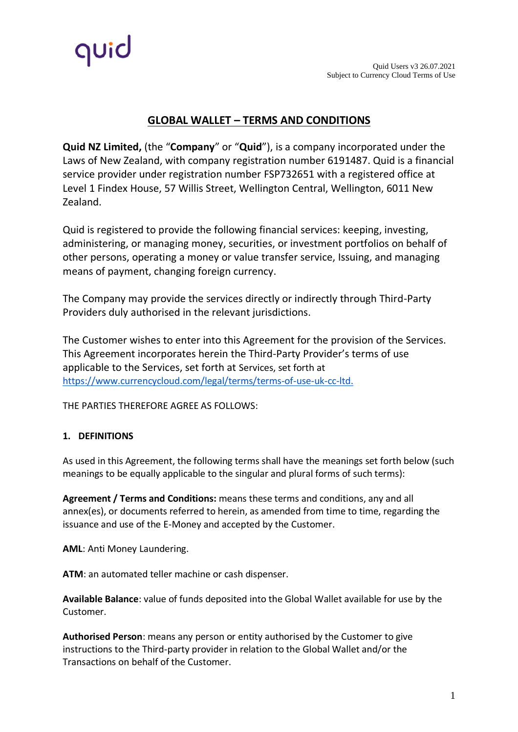

# **GLOBAL WALLET – TERMS AND CONDITIONS**

**Quid NZ Limited,** (the "**Company**" or "**Quid**"), is a company incorporated under the Laws of New Zealand, with company registration number 6191487. Quid is a financial service provider under registration number FSP732651 with a registered office at Level 1 Findex House, 57 Willis Street, Wellington Central, Wellington, 6011 New Zealand.

Quid is registered to provide the following financial services: keeping, investing, administering, or managing money, securities, or investment portfolios on behalf of other persons, operating a money or value transfer service, Issuing, and managing means of payment, changing foreign currency.

The Company may provide the services directly or indirectly through Third-Party Providers duly authorised in the relevant jurisdictions.

The Customer wishes to enter into this Agreement for the provision of the Services. This Agreement incorporates herein the Third-Party Provider's terms of use applicable to the Services, set forth at Services, set forth at [https://www.currencycloud.com/legal/terms/terms-of-use-uk-cc-ltd.](https://www.currencycloud.com/legal/terms/terms-of-use-uk-cc-ltd)

THE PARTIES THEREFORE AGREE AS FOLLOWS:

# **1. DEFINITIONS**

As used in this Agreement, the following terms shall have the meanings set forth below (such meanings to be equally applicable to the singular and plural forms of such terms):

**Agreement / Terms and Conditions:** means these terms and conditions, any and all annex(es), or documents referred to herein, as amended from time to time, regarding the issuance and use of the E-Money and accepted by the Customer.

**AML**: Anti Money Laundering.

**ATM**: an automated teller machine or cash dispenser.

**Available Balance**: value of funds deposited into the Global Wallet available for use by the Customer.

**Authorised Person**: means any person or entity authorised by the Customer to give instructions to the Third-party provider in relation to the Global Wallet and/or the Transactions on behalf of the Customer.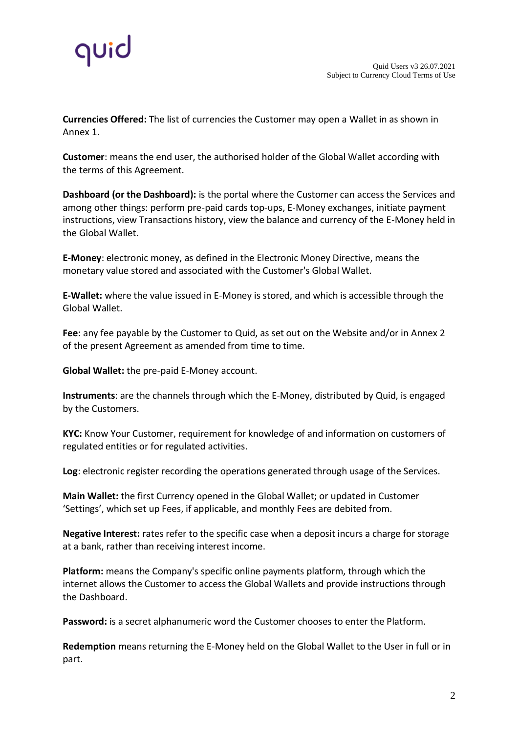

**Currencies Offered:** The list of currencies the Customer may open a Wallet in as shown in Annex 1.

**Customer**: means the end user, the authorised holder of the Global Wallet according with the terms of this Agreement.

**Dashboard (or the Dashboard):** is the portal where the Customer can access the Services and among other things: perform pre-paid cards top-ups, E-Money exchanges, initiate payment instructions, view Transactions history, view the balance and currency of the E-Money held in the Global Wallet.

**E-Money**: electronic money, as defined in the Electronic Money Directive, means the monetary value stored and associated with the Customer's Global Wallet.

**E-Wallet:** where the value issued in E-Money is stored, and which is accessible through the Global Wallet.

**Fee**: any fee payable by the Customer to Quid, as set out on the Website and/or in Annex 2 of the present Agreement as amended from time to time.

**Global Wallet:** the pre-paid E-Money account.

**Instruments**: are the channels through which the E-Money, distributed by Quid, is engaged by the Customers.

**KYC:** Know Your Customer, requirement for knowledge of and information on customers of regulated entities or for regulated activities.

**Log**: electronic register recording the operations generated through usage of the Services.

**Main Wallet:** the first Currency opened in the Global Wallet; or updated in Customer 'Settings', which set up Fees, if applicable, and monthly Fees are debited from.

**Negative Interest:** rates refer to the specific case when a deposit incurs a charge for storage at a bank, rather than receiving interest income.

**Platform:** means the Company's specific online payments platform, through which the internet allows the Customer to access the Global Wallets and provide instructions through the Dashboard.

**Password:** is a secret alphanumeric word the Customer chooses to enter the Platform.

**Redemption** means returning the E-Money held on the Global Wallet to the User in full or in part.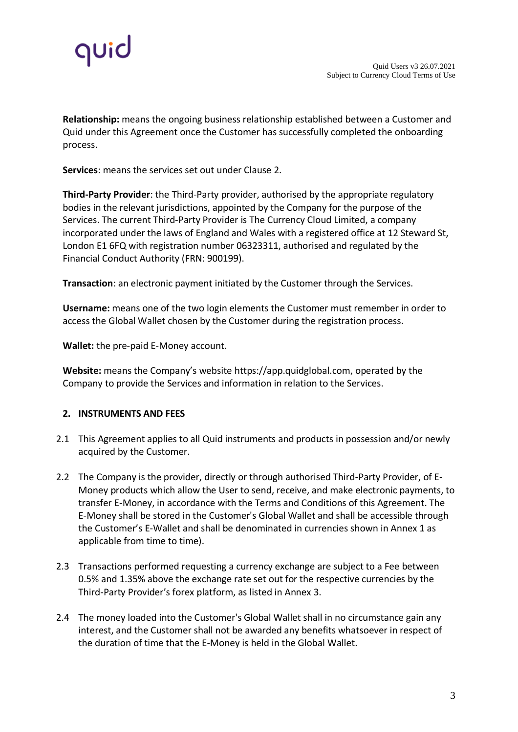

**Relationship:** means the ongoing business relationship established between a Customer and Quid under this Agreement once the Customer has successfully completed the onboarding process.

**Services**: means the services set out under Clause 2.

**Third-Party Provider**: the Third-Party provider, authorised by the appropriate regulatory bodies in the relevant jurisdictions, appointed by the Company for the purpose of the Services. The current Third-Party Provider is The Currency Cloud Limited, a company incorporated under the laws of England and Wales with a registered office at 12 Steward St, London E1 6FQ with registration number 06323311, authorised and regulated by the Financial Conduct Authority (FRN: 900199).

**Transaction**: an electronic payment initiated by the Customer through the Services.

**Username:** means one of the two login elements the Customer must remember in order to access the Global Wallet chosen by the Customer during the registration process.

**Wallet:** the pre-paid E-Money account.

**Website:** means the Company's website [https://app.quidglobal.com, o](https://app.quidglobal.com/)perated by the Company to provide the Services and information in relation to the Services.

# **2. INSTRUMENTS AND FEES**

- 2.1 This Agreement applies to all Quid instruments and products in possession and/or newly acquired by the Customer.
- 2.2 The Company is the provider, directly or through authorised Third-Party Provider, of E-Money products which allow the User to send, receive, and make electronic payments, to transfer E-Money, in accordance with the Terms and Conditions of this Agreement. The E-Money shall be stored in the Customer's Global Wallet and shall be accessible through the Customer's E-Wallet and shall be denominated in currencies shown in Annex 1 as applicable from time to time).
- 2.3 Transactions performed requesting a currency exchange are subject to a Fee between 0.5% and 1.35% above the exchange rate set out for the respective currencies by the Third-Party Provider's forex platform, as listed in Annex 3.
- 2.4 The money loaded into the Customer's Global Wallet shall in no circumstance gain any interest, and the Customer shall not be awarded any benefits whatsoever in respect of the duration of time that the E-Money is held in the Global Wallet.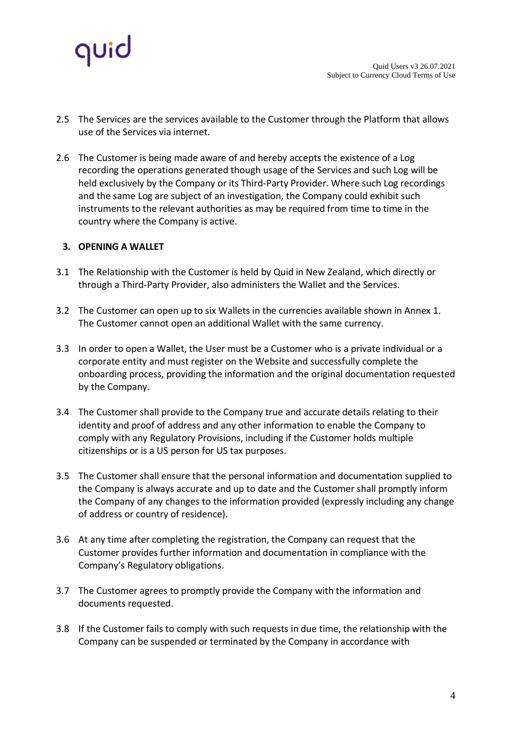

- 2.5 The Services are the services available to the Customer through the Platform that allows use of the Services via internet.
- 2.6 The Customer is being made aware of and hereby accepts the existence of a Log recording the operations generated though usage of the Services and such Log will be held exclusively by the Company or its Third-Party Provider. Where such Log recordings and the same Log are subject of an investigation, the Company could exhibit such instruments to the relevant authorities as may be required from time to time in the country where the Company is active.

# **3. OPENING A WALLET**

- 3.1 The Relationship with the Customer is held by Quid in New Zealand, which directly or through a Third-Party Provider, also administers the Wallet and the Services.
- 3.2 The Customer can open up to six Wallets in the currencies available shown in Annex 1. The Customer cannot open an additional Wallet with the same currency.
- 3.3 In order to open a Wallet, the User must be a Customer who is a private individual or a corporate entity and must register on the Website and successfully complete the onboarding process, providing the information and the original documentation requested by the Company.
- 3.4 The Customer shall provide to the Company true and accurate details relating to their identity and proof of address and any other information to enable the Company to comply with any Regulatory Provisions, including if the Customer holds multiple citizenships or is a US person for US tax purposes.
- 3.5 The Customer shall ensure that the personal information and documentation supplied to the Company is always accurate and up to date and the Customer shall promptly inform the Company of any changes to the information provided (expressly including any change of address or country of residence).
- 3.6 At any time after completing the registration, the Company can request that the Customer provides further information and documentation in compliance with the Company's Regulatory obligations.
- 3.7 The Customer agrees to promptly provide the Company with the information and documents requested.
- 3.8 If the Customer fails to comply with such requests in due time, the relationship with the Company can be suspended or terminated by the Company in accordance with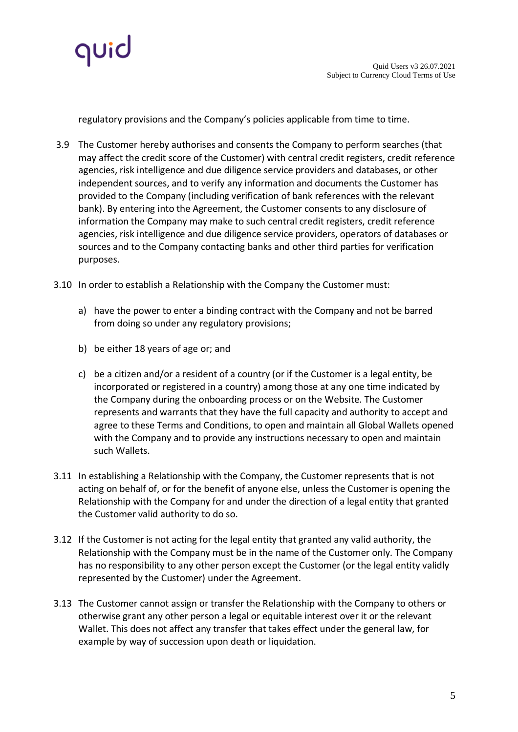

regulatory provisions and the Company's policies applicable from time to time.

- 3.9 The Customer hereby authorises and consents the Company to perform searches (that may affect the credit score of the Customer) with central credit registers, credit reference agencies, risk intelligence and due diligence service providers and databases, or other independent sources, and to verify any information and documents the Customer has provided to the Company (including verification of bank references with the relevant bank). By entering into the Agreement, the Customer consents to any disclosure of information the Company may make to such central credit registers, credit reference agencies, risk intelligence and due diligence service providers, operators of databases or sources and to the Company contacting banks and other third parties for verification purposes.
- 3.10 In order to establish a Relationship with the Company the Customer must:
	- a) have the power to enter a binding contract with the Company and not be barred from doing so under any regulatory provisions;
	- b) be either 18 years of age or; and
	- c) be a citizen and/or a resident of a country (or if the Customer is a legal entity, be incorporated or registered in a country) among those at any one time indicated by the Company during the onboarding process or on the Website. The Customer represents and warrants that they have the full capacity and authority to accept and agree to these Terms and Conditions, to open and maintain all Global Wallets opened with the Company and to provide any instructions necessary to open and maintain such Wallets.
- 3.11 In establishing a Relationship with the Company, the Customer represents that is not acting on behalf of, or for the benefit of anyone else, unless the Customer is opening the Relationship with the Company for and under the direction of a legal entity that granted the Customer valid authority to do so.
- 3.12 If the Customer is not acting for the legal entity that granted any valid authority, the Relationship with the Company must be in the name of the Customer only. The Company has no responsibility to any other person except the Customer (or the legal entity validly represented by the Customer) under the Agreement.
- 3.13 The Customer cannot assign or transfer the Relationship with the Company to others or otherwise grant any other person a legal or equitable interest over it or the relevant Wallet. This does not affect any transfer that takes effect under the general law, for example by way of succession upon death or liquidation.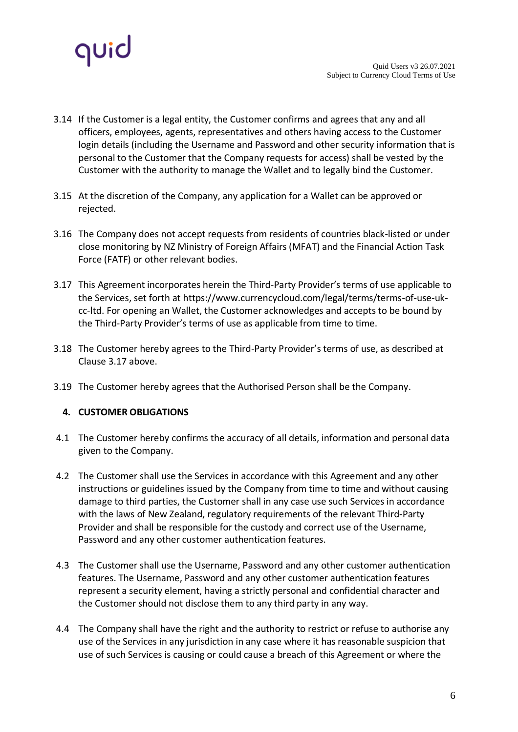

- 3.14 If the Customer is a legal entity, the Customer confirms and agrees that any and all officers, employees, agents, representatives and others having access to the Customer login details (including the Username and Password and other security information that is personal to the Customer that the Company requests for access) shall be vested by the Customer with the authority to manage the Wallet and to legally bind the Customer.
- 3.15 At the discretion of the Company, any application for a Wallet can be approved or rejected.
- 3.16 The Company does not accept requests from residents of countries black-listed or under close monitoring by NZ Ministry of Foreign Affairs (MFAT) and the Financial Action Task Force (FATF) or other relevant bodies.
- 3.17 This Agreement incorporates herein the Third-Party Provider's terms of use applicable to the Services, set forth at [https://www.currencycloud.com/legal/terms/terms-of-use-uk](https://www.currencycloud.com/legal/terms/terms-of-use-uk-cc-ltd)[cc-ltd.](https://www.currencycloud.com/legal/terms/terms-of-use-uk-cc-ltd) For opening an Wallet, the Customer acknowledges and accepts to be bound by the Third-Party Provider's terms of use as applicable from time to time.
- 3.18 The Customer hereby agrees to the Third-Party Provider's terms of use, as described at Clause 3.17 above.
- 3.19 The Customer hereby agrees that the Authorised Person shall be the Company.

# **4. CUSTOMER OBLIGATIONS**

- 4.1 The Customer hereby confirms the accuracy of all details, information and personal data given to the Company.
- 4.2 The Customer shall use the Services in accordance with this Agreement and any other instructions or guidelines issued by the Company from time to time and without causing damage to third parties, the Customer shall in any case use such Services in accordance with the laws of New Zealand, regulatory requirements of the relevant Third-Party Provider and shall be responsible for the custody and correct use of the Username, Password and any other customer authentication features.
- 4.3 The Customer shall use the Username, Password and any other customer authentication features. The Username, Password and any other customer authentication features represent a security element, having a strictly personal and confidential character and the Customer should not disclose them to any third party in any way.
- 4.4 The Company shall have the right and the authority to restrict or refuse to authorise any use of the Services in any jurisdiction in any case where it has reasonable suspicion that use of such Services is causing or could cause a breach of this Agreement or where the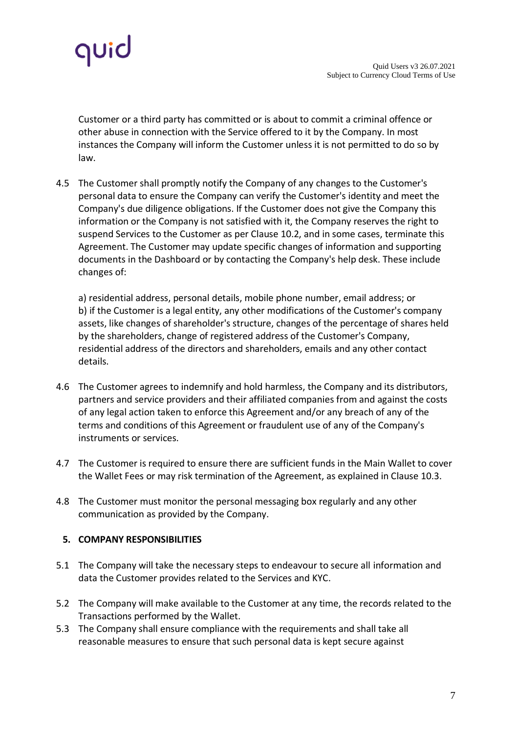

Customer or a third party has committed or is about to commit a criminal offence or other abuse in connection with the Service offered to it by the Company. In most instances the Company will inform the Customer unless it is not permitted to do so by law.

4.5 The Customer shall promptly notify the Company of any changes to the Customer's personal data to ensure the Company can verify the Customer's identity and meet the Company's due diligence obligations. If the Customer does not give the Company this information or the Company is not satisfied with it, the Company reserves the right to suspend Services to the Customer as per Clause 10.2, and in some cases, terminate this Agreement. The Customer may update specific changes of information and supporting documents in the Dashboard or by contacting the Company's help desk. These include changes of:

a) residential address, personal details, mobile phone number, email address; or b) if the Customer is a legal entity, any other modifications of the Customer's company assets, like changes of shareholder's structure, changes of the percentage of shares held by the shareholders, change of registered address of the Customer's Company, residential address of the directors and shareholders, emails and any other contact details.

- 4.6 The Customer agrees to indemnify and hold harmless, the Company and its distributors, partners and service providers and their affiliated companies from and against the costs of any legal action taken to enforce this Agreement and/or any breach of any of the terms and conditions of this Agreement or fraudulent use of any of the Company's instruments or services.
- 4.7 The Customer is required to ensure there are sufficient funds in the Main Wallet to cover the Wallet Fees or may risk termination of the Agreement, as explained in Clause 10.3.
- 4.8 The Customer must monitor the personal messaging box regularly and any other communication as provided by the Company.

# **5. COMPANY RESPONSIBILITIES**

- 5.1 The Company will take the necessary steps to endeavour to secure all information and data the Customer provides related to the Services and KYC.
- 5.2 The Company will make available to the Customer at any time, the records related to the Transactions performed by the Wallet.
- 5.3 The Company shall ensure compliance with the requirements and shall take all reasonable measures to ensure that such personal data is kept secure against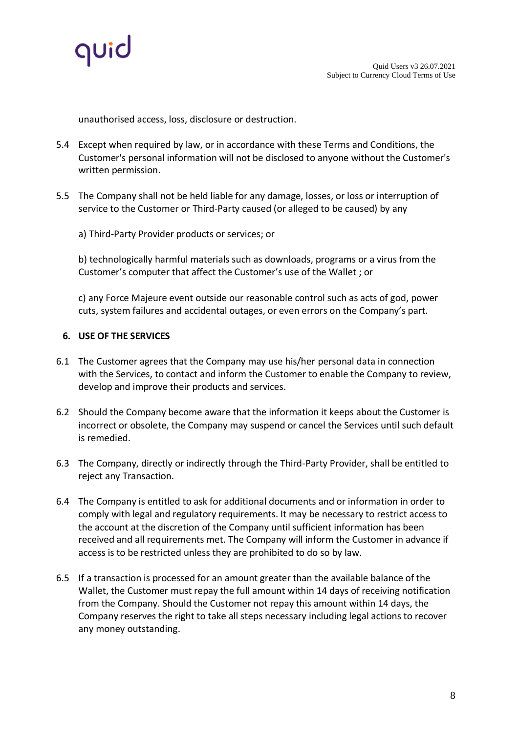

unauthorised access, loss, disclosure or destruction.

- 5.4 Except when required by law, or in accordance with these Terms and Conditions, the Customer's personal information will not be disclosed to anyone without the Customer's written permission.
- 5.5 The Company shall not be held liable for any damage, losses, or loss or interruption of service to the Customer or Third-Party caused (or alleged to be caused) by any
	- a) Third-Party Provider products or services; or

b) technologically harmful materials such as downloads, programs or a virus from the Customer's computer that affect the Customer's use of the Wallet ; or

c) any Force Majeure event outside our reasonable control such as acts of god, power cuts, system failures and accidental outages, or even errors on the Company's part.

### **6. USE OF THE SERVICES**

- 6.1 The Customer agrees that the Company may use his/her personal data in connection with the Services, to contact and inform the Customer to enable the Company to review, develop and improve their products and services.
- 6.2 Should the Company become aware that the information it keeps about the Customer is incorrect or obsolete, the Company may suspend or cancel the Services until such default is remedied.
- 6.3 The Company, directly or indirectly through the Third-Party Provider, shall be entitled to reject any Transaction.
- 6.4 The Company is entitled to ask for additional documents and or information in order to comply with legal and regulatory requirements. It may be necessary to restrict access to the account at the discretion of the Company until sufficient information has been received and all requirements met. The Company will inform the Customer in advance if access is to be restricted unless they are prohibited to do so by law.
- 6.5 If a transaction is processed for an amount greater than the available balance of the Wallet, the Customer must repay the full amount within 14 days of receiving notification from the Company. Should the Customer not repay this amount within 14 days, the Company reserves the right to take all steps necessary including legal actions to recover any money outstanding.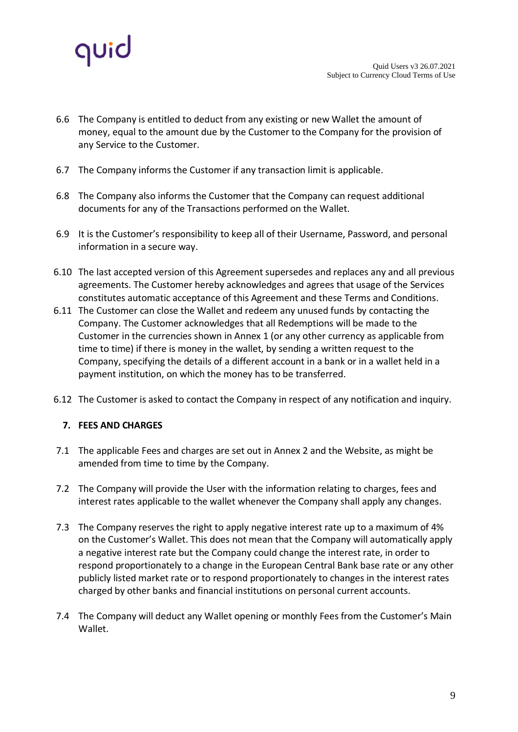

- 6.6 The Company is entitled to deduct from any existing or new Wallet the amount of money, equal to the amount due by the Customer to the Company for the provision of any Service to the Customer.
- 6.7 The Company informs the Customer if any transaction limit is applicable.
- 6.8 The Company also informs the Customer that the Company can request additional documents for any of the Transactions performed on the Wallet.
- 6.9 It is the Customer's responsibility to keep all of their Username, Password, and personal information in a secure way.
- 6.10 The last accepted version of this Agreement supersedes and replaces any and all previous agreements. The Customer hereby acknowledges and agrees that usage of the Services constitutes automatic acceptance of this Agreement and these Terms and Conditions.
- 6.11 The Customer can close the Wallet and redeem any unused funds by contacting the Company. The Customer acknowledges that all Redemptions will be made to the Customer in the currencies shown in Annex 1 (or any other currency as applicable from time to time) if there is money in the wallet, by sending a written request to the Company, specifying the details of a different account in a bank or in a wallet held in a payment institution, on which the money has to be transferred.
- 6.12 The Customer is asked to contact the Company in respect of any notification and inquiry.

# **7. FEES AND CHARGES**

- 7.1 The applicable Fees and charges are set out in Annex 2 and the Website, as might be amended from time to time by the Company.
- 7.2 The Company will provide the User with the information relating to charges, fees and interest rates applicable to the wallet whenever the Company shall apply any changes.
- 7.3 The Company reserves the right to apply negative interest rate up to a maximum of 4% on the Customer's Wallet. This does not mean that the Company will automatically apply a negative interest rate but the Company could change the interest rate, in order to respond proportionately to a change in the European Central Bank base rate or any other publicly listed market rate or to respond proportionately to changes in the interest rates charged by other banks and financial institutions on personal current accounts.
- 7.4 The Company will deduct any Wallet opening or monthly Fees from the Customer's Main Wallet.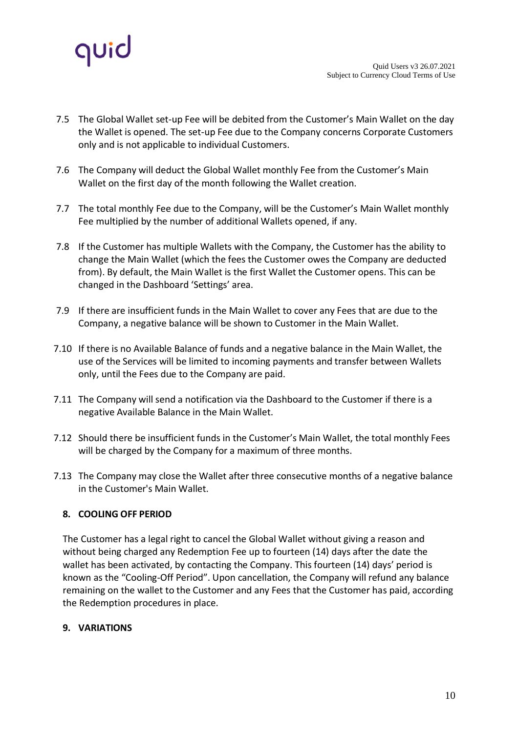

- 7.5 The Global Wallet set-up Fee will be debited from the Customer's Main Wallet on the day the Wallet is opened. The set-up Fee due to the Company concerns Corporate Customers only and is not applicable to individual Customers.
- 7.6 The Company will deduct the Global Wallet monthly Fee from the Customer's Main Wallet on the first day of the month following the Wallet creation.
- 7.7 The total monthly Fee due to the Company, will be the Customer's Main Wallet monthly Fee multiplied by the number of additional Wallets opened, if any.
- 7.8 If the Customer has multiple Wallets with the Company, the Customer has the ability to change the Main Wallet (which the fees the Customer owes the Company are deducted from). By default, the Main Wallet is the first Wallet the Customer opens. This can be changed in the Dashboard 'Settings' area.
- 7.9 If there are insufficient funds in the Main Wallet to cover any Fees that are due to the Company, a negative balance will be shown to Customer in the Main Wallet.
- 7.10 If there is no Available Balance of funds and a negative balance in the Main Wallet, the use of the Services will be limited to incoming payments and transfer between Wallets only, until the Fees due to the Company are paid.
- 7.11 The Company will send a notification via the Dashboard to the Customer if there is a negative Available Balance in the Main Wallet.
- 7.12 Should there be insufficient funds in the Customer's Main Wallet, the total monthly Fees will be charged by the Company for a maximum of three months.
- 7.13 The Company may close the Wallet after three consecutive months of a negative balance in the Customer's Main Wallet.

# **8. COOLING OFF PERIOD**

The Customer has a legal right to cancel the Global Wallet without giving a reason and without being charged any Redemption Fee up to fourteen (14) days after the date the wallet has been activated, by contacting the Company. This fourteen (14) days' period is known as the "Cooling-Off Period". Upon cancellation, the Company will refund any balance remaining on the wallet to the Customer and any Fees that the Customer has paid, according the Redemption procedures in place.

### **9. VARIATIONS**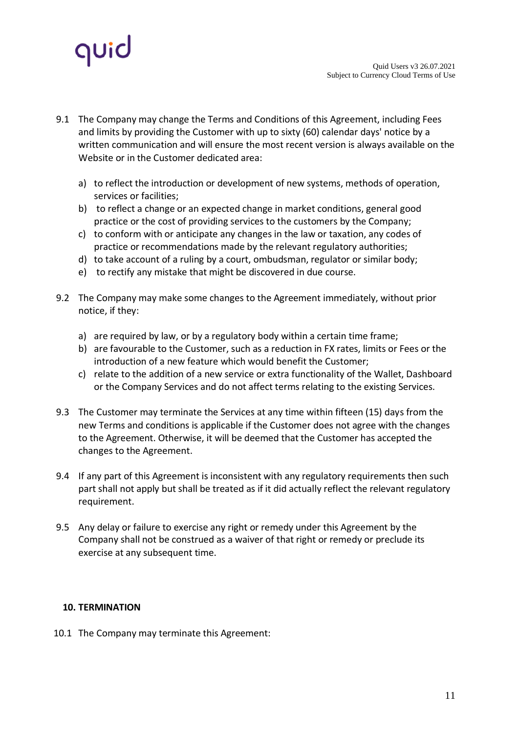

- 9.1 The Company may change the Terms and Conditions of this Agreement, including Fees and limits by providing the Customer with up to sixty (60) calendar days' notice by a written communication and will ensure the most recent version is always available on the Website or in the Customer dedicated area:
	- a) to reflect the introduction or development of new systems, methods of operation, services or facilities;
	- b) to reflect a change or an expected change in market conditions, general good practice or the cost of providing services to the customers by the Company;
	- c) to conform with or anticipate any changes in the law or taxation, any codes of practice or recommendations made by the relevant regulatory authorities;
	- d) to take account of a ruling by a court, ombudsman, regulator or similar body;
	- e) to rectify any mistake that might be discovered in due course.
- 9.2 The Company may make some changes to the Agreement immediately, without prior notice, if they:
	- a) are required by law, or by a regulatory body within a certain time frame;
	- b) are favourable to the Customer, such as a reduction in FX rates, limits or Fees or the introduction of a new feature which would benefit the Customer;
	- c) relate to the addition of a new service or extra functionality of the Wallet, Dashboard or the Company Services and do not affect terms relating to the existing Services.
- 9.3 The Customer may terminate the Services at any time within fifteen (15) days from the new Terms and conditions is applicable if the Customer does not agree with the changes to the Agreement. Otherwise, it will be deemed that the Customer has accepted the changes to the Agreement.
- 9.4 If any part of this Agreement is inconsistent with any regulatory requirements then such part shall not apply but shall be treated as if it did actually reflect the relevant regulatory requirement.
- 9.5 Any delay or failure to exercise any right or remedy under this Agreement by the Company shall not be construed as a waiver of that right or remedy or preclude its exercise at any subsequent time.

### **10. TERMINATION**

10.1 The Company may terminate this Agreement: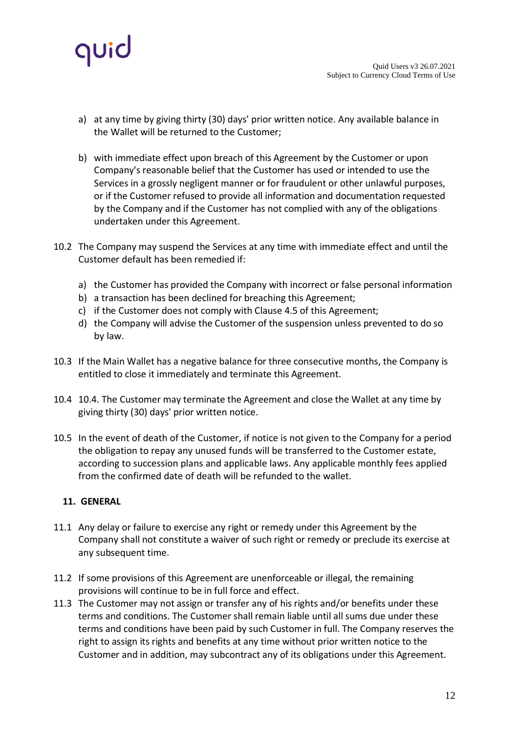

- a) at any time by giving thirty (30) days' prior written notice. Any available balance in the Wallet will be returned to the Customer;
- b) with immediate effect upon breach of this Agreement by the Customer or upon Company's reasonable belief that the Customer has used or intended to use the Services in a grossly negligent manner or for fraudulent or other unlawful purposes, or if the Customer refused to provide all information and documentation requested by the Company and if the Customer has not complied with any of the obligations undertaken under this Agreement.
- 10.2 The Company may suspend the Services at any time with immediate effect and until the Customer default has been remedied if:
	- a) the Customer has provided the Company with incorrect or false personal information
	- b) a transaction has been declined for breaching this Agreement;
	- c) if the Customer does not comply with Clause 4.5 of this Agreement;
	- d) the Company will advise the Customer of the suspension unless prevented to do so by law.
- 10.3 If the Main Wallet has a negative balance for three consecutive months, the Company is entitled to close it immediately and terminate this Agreement.
- 10.4 10.4. The Customer may terminate the Agreement and close the Wallet at any time by giving thirty (30) days' prior written notice.
- 10.5 In the event of death of the Customer, if notice is not given to the Company for a period the obligation to repay any unused funds will be transferred to the Customer estate, according to succession plans and applicable laws. Any applicable monthly fees applied from the confirmed date of death will be refunded to the wallet.

# **11. GENERAL**

- 11.1 Any delay or failure to exercise any right or remedy under this Agreement by the Company shall not constitute a waiver of such right or remedy or preclude its exercise at any subsequent time.
- 11.2 If some provisions of this Agreement are unenforceable or illegal, the remaining provisions will continue to be in full force and effect.
- 11.3 The Customer may not assign or transfer any of his rights and/or benefits under these terms and conditions. The Customer shall remain liable until all sums due under these terms and conditions have been paid by such Customer in full. The Company reserves the right to assign its rights and benefits at any time without prior written notice to the Customer and in addition, may subcontract any of its obligations under this Agreement.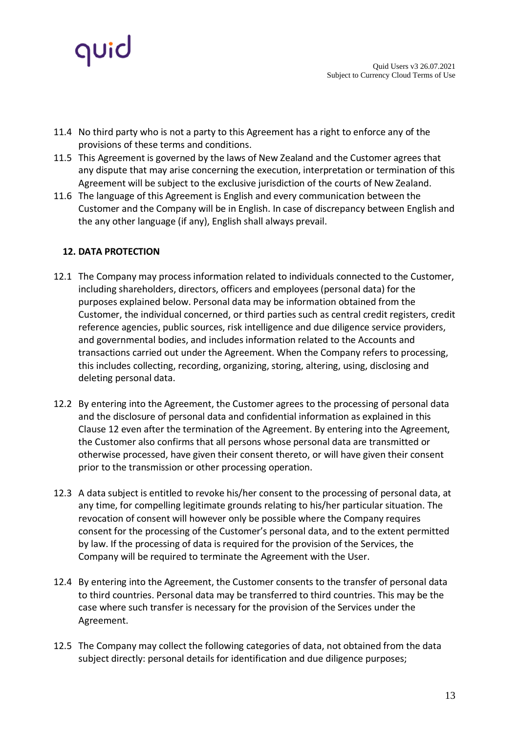

- 11.4 No third party who is not a party to this Agreement has a right to enforce any of the provisions of these terms and conditions.
- 11.5 This Agreement is governed by the laws of New Zealand and the Customer agrees that any dispute that may arise concerning the execution, interpretation or termination of this Agreement will be subject to the exclusive jurisdiction of the courts of New Zealand.
- 11.6 The language of this Agreement is English and every communication between the Customer and the Company will be in English. In case of discrepancy between English and the any other language (if any), English shall always prevail.

### **12. DATA PROTECTION**

- 12.1 The Company may process information related to individuals connected to the Customer, including shareholders, directors, officers and employees (personal data) for the purposes explained below. Personal data may be information obtained from the Customer, the individual concerned, or third parties such as central credit registers, credit reference agencies, public sources, risk intelligence and due diligence service providers, and governmental bodies, and includes information related to the Accounts and transactions carried out under the Agreement. When the Company refers to processing, this includes collecting, recording, organizing, storing, altering, using, disclosing and deleting personal data.
- 12.2 By entering into the Agreement, the Customer agrees to the processing of personal data and the disclosure of personal data and confidential information as explained in this Clause 12 even after the termination of the Agreement. By entering into the Agreement, the Customer also confirms that all persons whose personal data are transmitted or otherwise processed, have given their consent thereto, or will have given their consent prior to the transmission or other processing operation.
- 12.3 A data subject is entitled to revoke his/her consent to the processing of personal data, at any time, for compelling legitimate grounds relating to his/her particular situation. The revocation of consent will however only be possible where the Company requires consent for the processing of the Customer's personal data, and to the extent permitted by law. If the processing of data is required for the provision of the Services, the Company will be required to terminate the Agreement with the User.
- 12.4 By entering into the Agreement, the Customer consents to the transfer of personal data to third countries. Personal data may be transferred to third countries. This may be the case where such transfer is necessary for the provision of the Services under the Agreement.
- 12.5 The Company may collect the following categories of data, not obtained from the data subject directly: personal details for identification and due diligence purposes;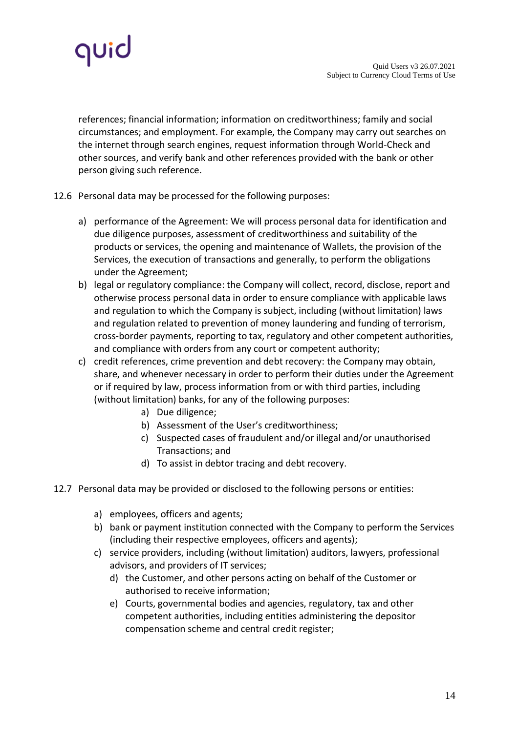

references; financial information; information on creditworthiness; family and social circumstances; and employment. For example, the Company may carry out searches on the internet through search engines, request information through World-Check and other sources, and verify bank and other references provided with the bank or other person giving such reference.

### 12.6 Personal data may be processed for the following purposes:

- a) performance of the Agreement: We will process personal data for identification and due diligence purposes, assessment of creditworthiness and suitability of the products or services, the opening and maintenance of Wallets, the provision of the Services, the execution of transactions and generally, to perform the obligations under the Agreement;
- b) legal or regulatory compliance: the Company will collect, record, disclose, report and otherwise process personal data in order to ensure compliance with applicable laws and regulation to which the Company is subject, including (without limitation) laws and regulation related to prevention of money laundering and funding of terrorism, cross-border payments, reporting to tax, regulatory and other competent authorities, and compliance with orders from any court or competent authority;
- c) credit references, crime prevention and debt recovery: the Company may obtain, share, and whenever necessary in order to perform their duties under the Agreement or if required by law, process information from or with third parties, including (without limitation) banks, for any of the following purposes:
	- a) Due diligence;
	- b) Assessment of the User's creditworthiness;
	- c) Suspected cases of fraudulent and/or illegal and/or unauthorised Transactions; and
	- d) To assist in debtor tracing and debt recovery.
- 12.7 Personal data may be provided or disclosed to the following persons or entities:
	- a) employees, officers and agents;
	- b) bank or payment institution connected with the Company to perform the Services (including their respective employees, officers and agents);
	- c) service providers, including (without limitation) auditors, lawyers, professional advisors, and providers of IT services;
		- d) the Customer, and other persons acting on behalf of the Customer or authorised to receive information;
		- e) Courts, governmental bodies and agencies, regulatory, tax and other competent authorities, including entities administering the depositor compensation scheme and central credit register;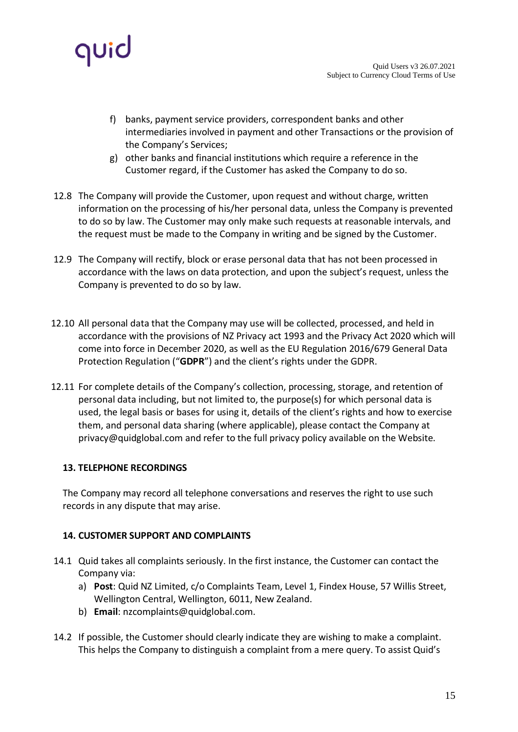

- f) banks, payment service providers, correspondent banks and other intermediaries involved in payment and other Transactions or the provision of the Company's Services;
- g) other banks and financial institutions which require a reference in the Customer regard, if the Customer has asked the Company to do so.
- 12.8 The Company will provide the Customer, upon request and without charge, written information on the processing of his/her personal data, unless the Company is prevented to do so by law. The Customer may only make such requests at reasonable intervals, and the request must be made to the Company in writing and be signed by the Customer.
- 12.9 The Company will rectify, block or erase personal data that has not been processed in accordance with the laws on data protection, and upon the subject's request, unless the Company is prevented to do so by law.
- 12.10 All personal data that the Company may use will be collected, processed, and held in accordance with the provisions of NZ Privacy act 1993 and the Privacy Act 2020 which will come into force in December 2020, as well as the EU Regulation 2016/679 General Data Protection Regulation ("**GDPR**") and the client's rights under the GDPR.
- 12.11 For complete details of the Company's collection, processing, storage, and retention of personal data including, but not limited to, the purpose(s) for which personal data is used, the legal basis or bases for using it, details of the client's rights and how to exercise them, and personal data sharing (where applicable), please contact the Company at [privacy@quidglobal.com a](mailto:privacy@quidglobal.com)nd refer to the full privacy policy available on the Website.

# **13. TELEPHONE RECORDINGS**

The Company may record all telephone conversations and reserves the right to use such records in any dispute that may arise.

### **14. CUSTOMER SUPPORT AND COMPLAINTS**

- 14.1 Quid takes all complaints seriously. In the first instance, the Customer can contact the Company via:
	- a) **Post**: Quid NZ Limited, c/o Complaints Team, Level 1, Findex House, 57 Willis Street, Wellington Central, Wellington, 6011, New Zealand.
	- b) **Email**: [nzcomplaints@quidglobal.com.](mailto:nzcomplaints@quidglobal.com)
- 14.2 If possible, the Customer should clearly indicate they are wishing to make a complaint. This helps the Company to distinguish a complaint from a mere query. To assist Quid's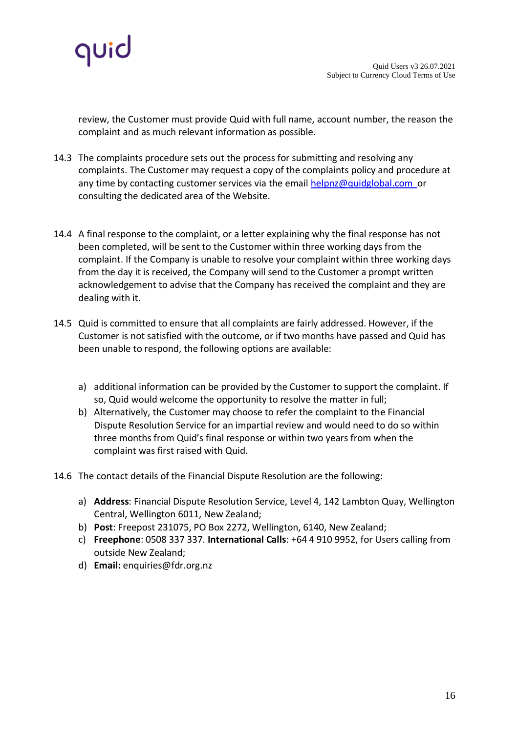

review, the Customer must provide Quid with full name, account number, the reason the complaint and as much relevant information as possible.

- 14.3 The complaints procedure sets out the process for submitting and resolving any complaints. The Customer may request a copy of the complaints policy and procedure at any time by contacting customer services via the emai[l helpnz@quidglobal.com o](mailto:helpnz@quidglobal.com)r consulting [the dedicated area of the Website.](https://quidglobal.com/complaints/)
- 14.4 A final response to the complaint, or a letter explaining why the final response has not been completed, will be sent to the Customer within three working days from the complaint. If the Company is unable to resolve your complaint within three working days from the day it is received, the Company will send to the Customer a prompt written acknowledgement to advise that the Company has received the complaint and they are dealing with it.
- 14.5 Quid is committed to ensure that all complaints are fairly addressed. However, if the Customer is not satisfied with the outcome, or if two months have passed and Quid has been unable to respond, the following options are available:
	- a) additional information can be provided by the Customer to support the complaint. If so, Quid would welcome the opportunity to resolve the matter in full;
	- b) Alternatively, the Customer may choose to refer the complaint to the Financial Dispute Resolution Service for an impartial review and would need to do so within three months from Quid's final response or within two years from when the complaint was first raised with Quid.
- 14.6 The contact details of the [Financial Dispute Resolution a](https://fdrs.org.nz/)re the following:
	- a) **Address**: Financial Dispute Resolution Service, Level 4, 142 Lambton Quay, Wellington Central, Wellington 6011, New Zealand;
	- b) **Post**: Freepost 231075, PO Box 2272, Wellington, 6140, New Zealand;
	- c) **Freephone**: 0508 337 337. **International Calls**: +64 4 910 9952, for Users calling from outside New Zealand;
	- d) **Email:** [enquiries@fdr.org.nz](mailto:enquiries@fdr.org.nz)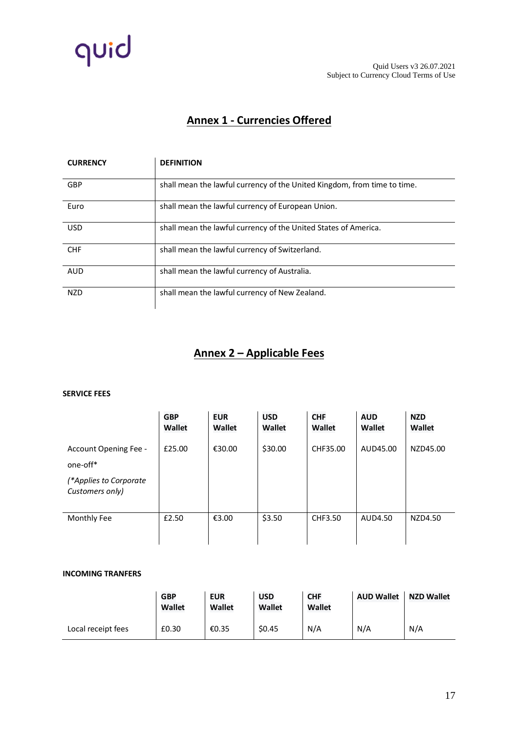

# **Annex 1 - Currencies Offered**

| <b>CURRENCY</b> | <b>DEFINITION</b>                                                        |
|-----------------|--------------------------------------------------------------------------|
| <b>GBP</b>      | shall mean the lawful currency of the United Kingdom, from time to time. |
| Euro            | shall mean the lawful currency of European Union.                        |
| <b>USD</b>      | shall mean the lawful currency of the United States of America.          |
| <b>CHF</b>      | shall mean the lawful currency of Switzerland.                           |
| <b>AUD</b>      | shall mean the lawful currency of Australia.                             |
| <b>NZD</b>      | shall mean the lawful currency of New Zealand.                           |

# **Annex 2 – Applicable Fees**

#### **SERVICE FEES**

|                                           | <b>GBP</b><br>Wallet | <b>EUR</b><br>Wallet | <b>USD</b><br>Wallet | <b>CHF</b><br><b>Wallet</b> | <b>AUD</b><br>Wallet | <b>NZD</b><br>Wallet |
|-------------------------------------------|----------------------|----------------------|----------------------|-----------------------------|----------------------|----------------------|
| Account Opening Fee -<br>one-off*         | £25.00               | €30.00               | \$30.00              | CHF35.00                    | AUD45.00             | NZD45.00             |
| (*Applies to Corporate<br>Customers only) |                      |                      |                      |                             |                      |                      |
| Monthly Fee                               | £2.50                | €3.00                | \$3.50               | CHF3.50                     | AUD4.50              | NZD4.50              |

#### **INCOMING TRANFERS**

|                    | <b>GBP</b><br>Wallet | <b>EUR</b><br>Wallet | <b>USD</b><br><b>Wallet</b> | <b>CHF</b><br>Wallet | <b>AUD Wallet</b> | <b>NZD Wallet</b> |
|--------------------|----------------------|----------------------|-----------------------------|----------------------|-------------------|-------------------|
| Local receipt fees | £0.30                | €0.35                | \$0.45                      | N/A                  | N/A               | N/A               |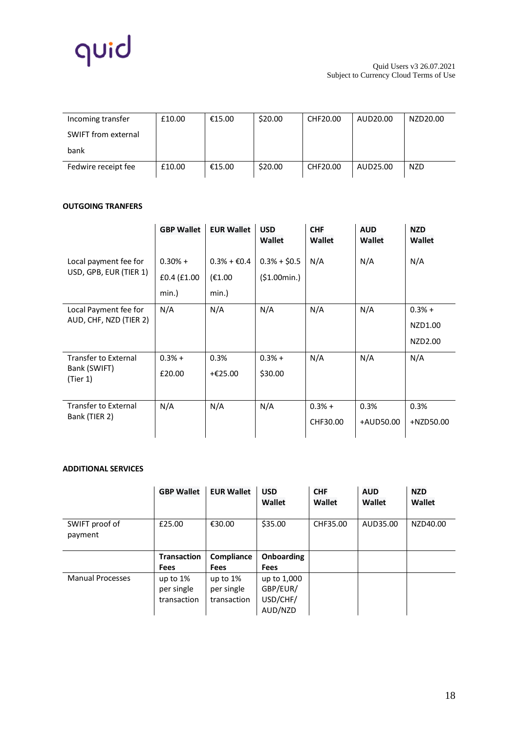

| Incoming transfer   | £10.00 | €15.00 | \$20.00 | CHF20.00 | AUD20.00 | NZD20.00   |
|---------------------|--------|--------|---------|----------|----------|------------|
| SWIFT from external |        |        |         |          |          |            |
| bank                |        |        |         |          |          |            |
| Fedwire receipt fee | £10.00 | €15.00 | \$20.00 | CHF20.00 | AUD25.00 | <b>NZD</b> |

### **OUTGOING TRANFERS**

|                                                         | <b>GBP Wallet</b>                 | <b>EUR Wallet</b>                                    | <b>USD</b><br>Wallet          | <b>CHF</b><br><b>Wallet</b> | <b>AUD</b><br><b>Wallet</b> | <b>NZD</b><br><b>Wallet</b>    |
|---------------------------------------------------------|-----------------------------------|------------------------------------------------------|-------------------------------|-----------------------------|-----------------------------|--------------------------------|
| Local payment fee for<br>USD, GPB, EUR (TIER 1)         | $0.30% +$<br>£0.4 (£1.00<br>min.) | $0.3% + \text{\textsterling}0.4$<br>(E1.00)<br>min.) | $0.3% + $0.5$<br>(\$1.00min.) | N/A                         | N/A                         | N/A                            |
| Local Payment fee for<br>AUD, CHF, NZD (TIER 2)         | N/A                               | N/A                                                  | N/A                           | N/A                         | N/A                         | $0.3% +$<br>NZD1.00<br>NZD2.00 |
| <b>Transfer to External</b><br>Bank (SWIFT)<br>(Tier 1) | $0.3% +$<br>£20.00                | 0.3%<br>+€25.00                                      | $0.3% +$<br>\$30.00           | N/A                         | N/A                         | N/A                            |
| <b>Transfer to External</b><br>Bank (TIER 2)            | N/A                               | N/A                                                  | N/A                           | $0.3% +$<br>CHF30.00        | 0.3%<br>+AUD50.00           | 0.3%<br>+NZD50.00              |

### **ADDITIONAL SERVICES**

|                           | <b>GBP Wallet</b>  | <b>EUR Wallet</b> | <b>USD</b><br>Wallet | <b>CHF</b><br>Wallet | <b>AUD</b><br>Wallet | <b>NZD</b><br>Wallet |
|---------------------------|--------------------|-------------------|----------------------|----------------------|----------------------|----------------------|
| SWIFT proof of<br>payment | £25.00             | €30.00            | \$35.00              | CHF35.00             | AUD35.00             | NZD40.00             |
|                           |                    |                   |                      |                      |                      |                      |
|                           | <b>Transaction</b> | Compliance        | <b>Onboarding</b>    |                      |                      |                      |
|                           | Fees               | <b>Fees</b>       | <b>Fees</b>          |                      |                      |                      |